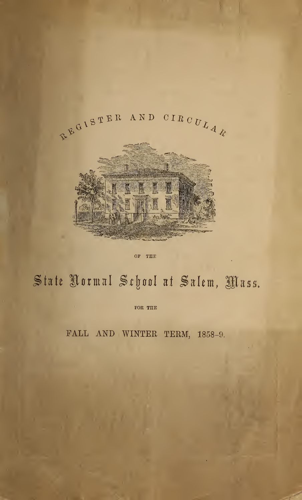

OF THE

# State Normal School at Salem, Mass.

FOR THE

FALL AND WINTER TERM, 1858-9.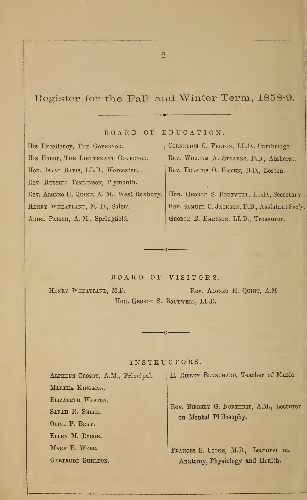Register for the Fall and Winter Term, 1858-9.

BOARD OF EDUCATION

His Excellency, THE GOVERNOR. His Honor, THE LIEUTENANT GOVERNOR. Hon. Isaac Davis, LL.D., Worcester. Rev. RUSSELL TOMLINSON, Plymouth. Rev. Alonzo H. Quint, A. M., West Roxbury. HENRY WHEATLAND, M. D., Salem. Ariel Parish, A. M., Springfield.

CORNELIUS C. FELTON, LL.D., Cambridge. Rev. William A. Stearns, D.D., Amherst. Rev. Erastus 0. Haven, D.D., Boston.

Hon. GEORGE S. BOUTWELL, LL.D., Secretary. Rev. Samuel C. Jackson, D.D., Assistant Sec'y. George B. Emerson, LL.D., Treasurer.

BOARD OF VISITORS.

ŋ,

HENRY WHEATLAND, M.D. Rev. ALONZO H. QUINT, A.M. Hon. George S. Boutwell, LL.D.

INSTRUCTORS.

 $\cdot$   $\circ$ 

| ALPHEUS CROSEY, A.M., Principal. | E. RIPLEY BLANCHARD, Teacher of Music.                            |
|----------------------------------|-------------------------------------------------------------------|
| MARTHA KINGMAN.                  |                                                                   |
| ELIZABETH WESTON.                |                                                                   |
| SARAH R. SMITH.                  | Rev. BIRDSEY G. NORTHROP, A.M., Lecturer<br>on Mental Philosophy. |
| OLIVE P. BRAY.                   |                                                                   |
| ELLEN M. DODGE.                  |                                                                   |
| MARY E. WEBB.                    | FRANCES S. COOKE, M.D., Lecturer on                               |
| GERTRUDE SHELDON.                | Anatomy, Physiology and Health.                                   |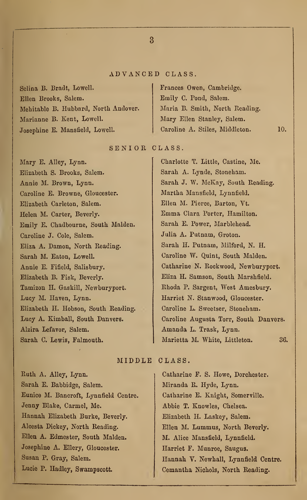# ADVANCED CLASS.

Selina B. Bradt, Lowell. Ellen Brooks, Salem. Mehitable B. Hubbard, North Andover. Marianne B. Kent, Lowell. Josephine E. Mansfield, Lowell.

Frances Owen, Cambridge. Emily C. Pond, Salem. Maria B. Smith, North Reading. Mary Ellen Stanley, Salem. Caroline A. Stiles, Middleton. 10.

## SENIOR CLASS.

Mary E. Alley, Lynn. Elizabeth S. Brooks, Salem. Annie M. Brown, Lynn. Caroline E. Browne, Gloucester. Elizabeth Carleton, Salem. Helen M. Carter, Beverly. Emily E. Chadbourne, South Maiden. Caroline J. Cole, Salem. Eliza A. Damon, North Reading. Sarah M. Eaton, Lowell. Annie E. Fifield, Salisbury. Elizabeth B. Fisk, Beverly. Tamizon H. Gaskill, Newburyport. Lucy M. Haven, Lynn. Elizabeth H. Hobson, South Reading. Lucy A. Kimball, South Danvers. Alzira Lefavor, Salem. Sarah C. Lewis, Falmouth.

Charlotte T. Little, Castine, Me. Sarah A. Lynde, Stoneham. Sarah J. W. McKay, South Reading. Martha Mansfield, Lynnfield. Ellen M. Pierce, Barton, Vt. Emma Clara Porter, Hamilton. Sarah E. Power, Marblehead. Julia A. Putnam, Groton. Sarah H. Putnam, Milford, N. H. Caroline W. Quint, South Maiden. Catharine N. Rockwood, Newburyport. Eliza H. Samson, South Marshfield. Rhoda P. Sargent, West Amesbury. Harriet N. Stanwood, Gloucester. Caroline L. Sweetser, Stoneham. Caroline Augusta Torr, South Danvers. Amanda L. Trask, Lynn. Marietta M. White, Littleton. 36.

# MIDDLE CLASS.

Ruth A. Alley, Lynn. Sarah E. Babbidge, Salem. Eunice M. Bancroft, Lynnfield Centre. Jenny Blake, Carmel, Me. Hannah Elizabeth Burke, Beverly. Alcesta Dickey, North Reading. Ellen A. Edmester, South Maiden. Josephine A. Ellery, Gloucester. Susan P. Gray, Salem. Lucie P. Hadley, Swampscott.

Catharine F. S. Howe, Dorchester. Miranda R. Hyde, Lynn. Catharine E. Knight, Somerville. Abbie T. Knowles, Chelsea. Elizabeth H. Laskey, Salem. Ellen M. Lummus, North Beverly. M. Alice Mansfield, Lynnfield. Harriet F. Munroe, Saugus. Hannah V. Newhall, Lynnfield Centre. Cemantha Nichols, North Reading.

 $\mathbf{a}$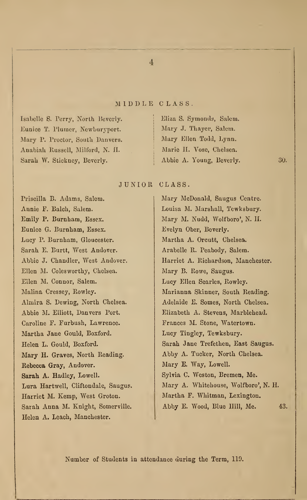### MIDDLE CLASS

Isabella S. Terry, North Beverly. Eunico T. Plumer, Newburyport. Mary P. Proctor, South Danvers. Anabiah Russell, Milford, N. II. Sarah W. Stickney, Beverly.

# Eliza S. Symonds, Salem. Mary J. Thayer, Salem. Mary Ellen Todd, Lynn. Marie II. Vose, Chelsea. Abbic A. Young, Beverly.

30.

JUNIOR CLASS.

Priscilla B. Adams, Salem. Annie F. Balch, Salem. Emily P. Burnham, Essex. Eunice G. Burnham, Essex. Lucy P. Burnham, Gloucester. Sarah E. Burtt, West Andover. Abbie J. Chandler, West Andover. Ellen M. Colesworthy, Chelsea. Ellen M. Connor, Salem. Malina Cressey, Rowley. Almira S. Dewing, North Chelsea. Abbie M. Elliott, Danvers Port. Caroline F. Furbush, Lawrence. Martha Jane Gould, Boxford. Helen L. Gould, Boxford. Mary H. Graves, North Reading. Rebecca Gray, Andover. Sarah A. Hadley, Lowell. Lura Hartwell, Cliftondale, Saugus. Harriet M. Kemp, West Groton. Sarah Anna M. Knight, Somerville. Helen A. Leach, Manchester.

Mary McDonald, Saugus Centre. Louisa M. Marshall, Tewksbury. Mary M. Nudd, Wolfboro', N. II. Evelyn Ober, Beverly. Martha A. Orcutt, Chelsea. Arabelle R. Peabody, Salem. Harriet A. Richardson, Manchester. Mary B. Rowe, Saugus. Lucy Ellen Searles, Rowley. Marianna Skinner, South Reading. Adelaide E. Somes, North Chelsea. Elizabeth A. Stevens, Marblehead. Frances M. Stone, Watertown. Lucy Tingley, Tewksbury. Sarah Jane Trefethen, East Saugus. Abby A. Tucker, North Chelsea. Mary E. Way, Lowell. Sylvia C. Weston, Bremen, Me. Mary A. Whitehouse, Wolfboro', N. H. Martha F. Whitman, Lexington. Abby E. Wood, Blue Hill, Me. 43.

Number of Students in attendance during the Term, 119.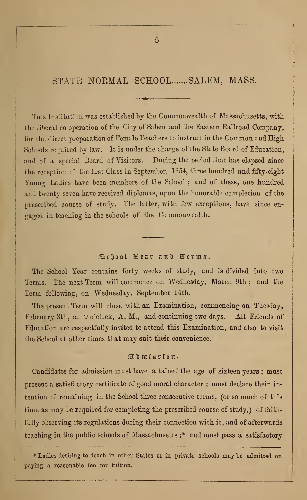STATE NORMAL SCHOOL ....... SALEM, MASS.

Tins Institution was established by the Commonwealth of Massachusetts, with the liberal co-operation of the City of Salem and the Eastern Railroad Company, for the direct preparation of Female Teachers to instruct in the Common and High Schools required by law. It is under the charge of the State Board of Education, and of a special Board of Visitors. During the period that has elapsed since the reception of the first Class in September, 1854, three hundred and fifty-eight Young Ladies have been members of the School ; and of these, one hundred and twenty seven have received diplomas, upon the honorable completion of the prescribed course of study. The latter, with few exceptions, have since en gaged in teaching in the schools of the Commonwealth.

# School Year and Terms.

The School Year contains forty weeks of study, and is divided into two Terms. The next Term will commence on Wednesday, March 9th ; and the Term following, on Wednesday, September 14th.

The present Term will close with an Examination, commencing on Tuesday, February 8th, at 9 o'clock, A. M., and continuing two days. All Friends of Education are respectfully invited to attend this Examination, and also to visit the School at other times that may suit their convenience.

# Etjmfssf on.

Candidates for admission must have attained the age of sixteen years ; must present a satisfactory certificate of good moral character ; must declare their intention of remaining in the School three consecutive terms, (or so much of this time as may be required for completing the prescribed course of study,) of faithfully observing its regulations during their connection with it, and of afterwards teaching in the public schools of Massachusetts j\* and must pass a satisfactory

\* Ladies desiring to teach in other States or in private schools may be admitted on paying a reasonable fee for tuition.

 $\overline{5}$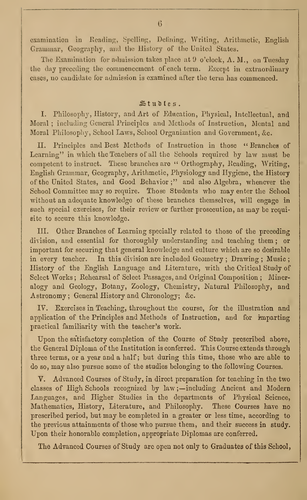examination in Reading, Spelling, Defining, Writing, Arithmetic, English Grammar, Geography, and the History of the United States.

The Examination for admission takes place at  $9\degree$  o'clock, A. M., on Tuesday the day preceding the commencement of each term. Except in extraordinary cases, no candidate for admission is examined after the term has commenced.

# $\mathbb{S}$ tudles.

I. Philosophy, History, and Art of Education, Physical, Intellectual, and Moral ; including General Principles and Methods of Instruction, Mental and Moral Philosophy, School Laws, School Organization and Government, &c.

II. Principles and Best Methods of Instruction in those " Branches of Learning" in which the Teachers of all the Schools required by law must be competent to instruct. These branches are "Orthography, Reading, Writing, English Grammar, Geography, Arithmetic, Physiology and Hygiene, the History of the United States, and Good Behavior;" and also Algebra, whenever the School Committee may so require. Those Students who may enter the School without an adequate knowledge of these branches themselves, will engage in such special exercises, for their review or further prosecution, as may be requisite to secure this knowledge.

III. Other Branches of Learning specially related to those of the preceding division, and essential for thoroughly understanding and teaching them ; or important for securing that general knowledge and culture which are so desirable in every teacher. In this division are included Geometry ; Drawing ; Music ; History of the English Language and Literature, with the Critical Study of Select Works ; Rehearsal of Select Passages, and Original Composition ; Mineralogy and Geology, Botany, Zoology, Chemistry, Natural Philosophy, and Astronomy ; General History and Chronology; &c.

IV. Exercises in Teaching, throughout the course, for the illustration and application of the Principles and Methods of Instruction, and for imparting practical familiarity with the teacher's work.

Upon the satisfactory completion of the Course of Study prescribed above, the General Diploma of the Institution is conferred. This Course extends through three terms, or a year and a half; but during this time, those who are able to do so, may also pursue some of the studies belonging to the following Courses.

V. Advanced Courses of Study, in direct preparation for teaching in the two classes of High Schools recognized by law ;—including Ancient and Modern Languages, and Higher Studies in the departments of Physical Science, Mathematics, History, Literature, and Philosophy. These Courses have no prescribed period, but may be completed in a greater or less time, according to the previous attainments of those who pursue them, and their success in study. Upon their honorable completion, appropriate Diplomas are conferred.

The Advanced Courses of Study are open not only to Graduates of this School,